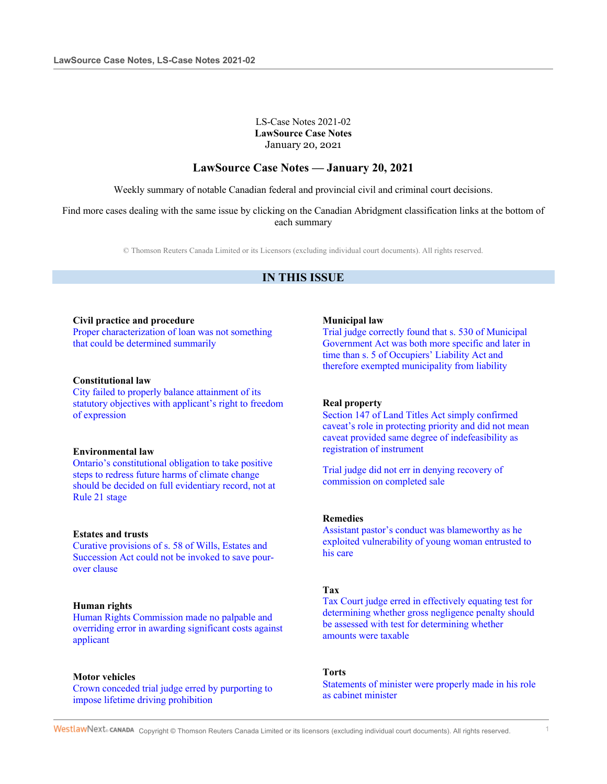### LS-Case Notes 2021-02 **LawSource Case Notes** January 20, 2021

## **LawSource Case Notes — January 20, 2021**

Weekly summary of notable Canadian federal and provincial civil and criminal court decisions.

Find more cases dealing with the same issue by clicking on the Canadian Abridgment classification links at the bottom of each summary

© Thomson Reuters Canada Limited or its Licensors (excluding individual court documents). All rights reserved.

# **IN THIS ISSUE**

#### **Civil practice and procedure**

Proper characterization of loan was not something that could be determined summarily

#### **Constitutional law**

City failed to properly balance attainment of its statutory objectives with applicant's right to freedom of expression

#### **Environmental law**

Ontario's constitutional obligation to take positive steps to redress future harms of climate change should be decided on full evidentiary record, not at Rule 21 stage

### **Estates and trusts**

Curative provisions of s. 58 of Wills, Estates and Succession Act could not be invoked to save pourover clause

### **Human rights**

Human Rights Commission made no palpable and overriding error in awarding significant costs against applicant

### **Motor vehicles**

Crown conceded trial judge erred by purporting to impose lifetime driving prohibition

#### **Municipal law**

Trial judge correctly found that s. 530 of Municipal Government Act was both more specific and later in time than s. 5 of Occupiers' Liability Act and therefore exempted municipality from liability

### **Real property**

Section 147 of Land Titles Act simply confirmed caveat's role in protecting priority and did not mean caveat provided same degree of indefeasibility as registration of instrument

Trial judge did not err in denying recovery of commission on completed sale

#### **Remedies**

Assistant pastor's conduct was blameworthy as he exploited vulnerability of young woman entrusted to his care

#### **Tax**

Tax Court judge erred in effectively equating test for determining whether gross negligence penalty should be assessed with test for determining whether amounts were taxable

### **Torts**

Statements of minister were properly made in his role as cabinet minister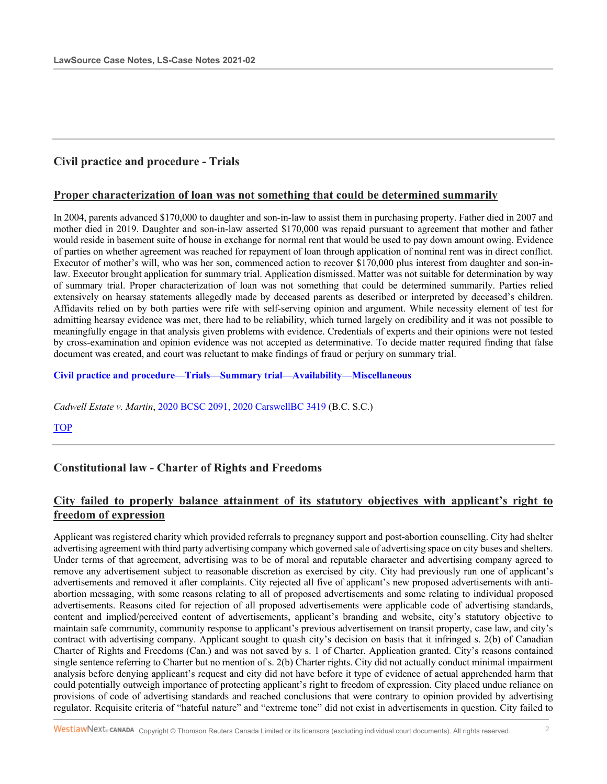# **Civil practice and procedure - Trials**

### **Proper characterization of loan was not something that could be determined summarily**

In 2004, parents advanced \$170,000 to daughter and son-in-law to assist them in purchasing property. Father died in 2007 and mother died in 2019. Daughter and son-in-law asserted \$170,000 was repaid pursuant to agreement that mother and father would reside in basement suite of house in exchange for normal rent that would be used to pay down amount owing. Evidence of parties on whether agreement was reached for repayment of loan through application of nominal rent was in direct conflict. Executor of mother's will, who was her son, commenced action to recover \$170,000 plus interest from daughter and son-inlaw. Executor brought application for summary trial. Application dismissed. Matter was not suitable for determination by way of summary trial. Proper characterization of loan was not something that could be determined summarily. Parties relied extensively on hearsay statements allegedly made by deceased parents as described or interpreted by deceased's children. Affidavits relied on by both parties were rife with self-serving opinion and argument. While necessity element of test for admitting hearsay evidence was met, there had to be reliability, which turned largely on credibility and it was not possible to meaningfully engage in that analysis given problems with evidence. Credentials of experts and their opinions were not tested by cross-examination and opinion evidence was not accepted as determinative. To decide matter required finding that false document was created, and court was reluctant to make findings of fraud or perjury on summary trial.

### **Civil practice and procedure—Trials—Summary trial—Availability—Miscellaneous**

*Cadwell Estate v. Martin*, 2020 BCSC 2091, 2020 CarswellBC 3419 (B.C. S.C.)

### **TOP**

# **Constitutional law - Charter of Rights and Freedoms**

## **City failed to properly balance attainment of its statutory objectives with applicant's right to freedom of expression**

Applicant was registered charity which provided referrals to pregnancy support and post-abortion counselling. City had shelter advertising agreement with third party advertising company which governed sale of advertising space on city buses and shelters. Under terms of that agreement, advertising was to be of moral and reputable character and advertising company agreed to remove any advertisement subject to reasonable discretion as exercised by city. City had previously run one of applicant's advertisements and removed it after complaints. City rejected all five of applicant's new proposed advertisements with antiabortion messaging, with some reasons relating to all of proposed advertisements and some relating to individual proposed advertisements. Reasons cited for rejection of all proposed advertisements were applicable code of advertising standards, content and implied/perceived content of advertisements, applicant's branding and website, city's statutory objective to maintain safe community, community response to applicant's previous advertisement on transit property, case law, and city's contract with advertising company. Applicant sought to quash city's decision on basis that it infringed s. 2(b) of Canadian Charter of Rights and Freedoms (Can.) and was not saved by s. 1 of Charter. Application granted. City's reasons contained single sentence referring to Charter but no mention of s. 2(b) Charter rights. City did not actually conduct minimal impairment analysis before denying applicant's request and city did not have before it type of evidence of actual apprehended harm that could potentially outweigh importance of protecting applicant's right to freedom of expression. City placed undue reliance on provisions of code of advertising standards and reached conclusions that were contrary to opinion provided by advertising regulator. Requisite criteria of "hateful nature" and "extreme tone" did not exist in advertisements in question. City failed to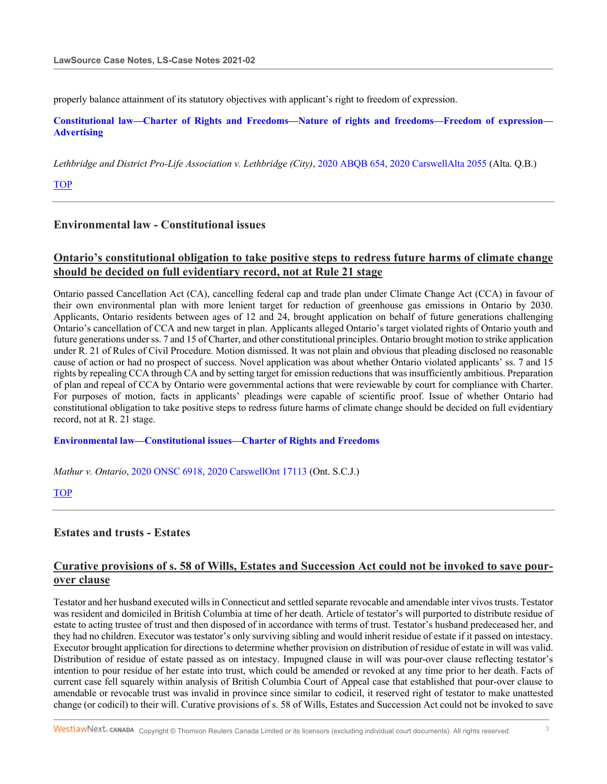properly balance attainment of its statutory objectives with applicant's right to freedom of expression.

**Constitutional law—Charter of Rights and Freedoms—Nature of rights and freedoms—Freedom of expression— Advertising**

*Lethbridge and District Pro-Life Association v. Lethbridge (City)*, 2020 ABQB 654, 2020 CarswellAlta 2055 (Alta. Q.B.)

TOP

## **Environmental law - Constitutional issues**

# **Ontario's constitutional obligation to take positive steps to redress future harms of climate change should be decided on full evidentiary record, not at Rule 21 stage**

Ontario passed Cancellation Act (CA), cancelling federal cap and trade plan under Climate Change Act (CCA) in favour of their own environmental plan with more lenient target for reduction of greenhouse gas emissions in Ontario by 2030. Applicants, Ontario residents between ages of 12 and 24, brought application on behalf of future generations challenging Ontario's cancellation of CCA and new target in plan. Applicants alleged Ontario's target violated rights of Ontario youth and future generations under ss. 7 and 15 of Charter, and other constitutional principles. Ontario brought motion to strike application under R. 21 of Rules of Civil Procedure. Motion dismissed. It was not plain and obvious that pleading disclosed no reasonable cause of action or had no prospect of success. Novel application was about whether Ontario violated applicants' ss. 7 and 15 rights by repealing CCA through CA and by setting target for emission reductions that was insufficiently ambitious. Preparation of plan and repeal of CCA by Ontario were governmental actions that were reviewable by court for compliance with Charter. For purposes of motion, facts in applicants' pleadings were capable of scientific proof. Issue of whether Ontario had constitutional obligation to take positive steps to redress future harms of climate change should be decided on full evidentiary record, not at R. 21 stage.

### **Environmental law—Constitutional issues—Charter of Rights and Freedoms**

*Mathur v. Ontario*, 2020 ONSC 6918, 2020 CarswellOnt 17113 (Ont. S.C.J.)

### **TOP**

## **Estates and trusts - Estates**

# **Curative provisions of s. 58 of Wills, Estates and Succession Act could not be invoked to save pourover clause**

Testator and her husband executed wills in Connecticut and settled separate revocable and amendable inter vivos trusts. Testator was resident and domiciled in British Columbia at time of her death. Article of testator's will purported to distribute residue of estate to acting trustee of trust and then disposed of in accordance with terms of trust. Testator's husband predeceased her, and they had no children. Executor was testator's only surviving sibling and would inherit residue of estate if it passed on intestacy. Executor brought application for directions to determine whether provision on distribution of residue of estate in will was valid. Distribution of residue of estate passed as on intestacy. Impugned clause in will was pour-over clause reflecting testator's intention to pour residue of her estate into trust, which could be amended or revoked at any time prior to her death. Facts of current case fell squarely within analysis of British Columbia Court of Appeal case that established that pour-over clause to amendable or revocable trust was invalid in province since similar to codicil, it reserved right of testator to make unattested change (or codicil) to their will. Curative provisions of s. 58 of Wills, Estates and Succession Act could not be invoked to save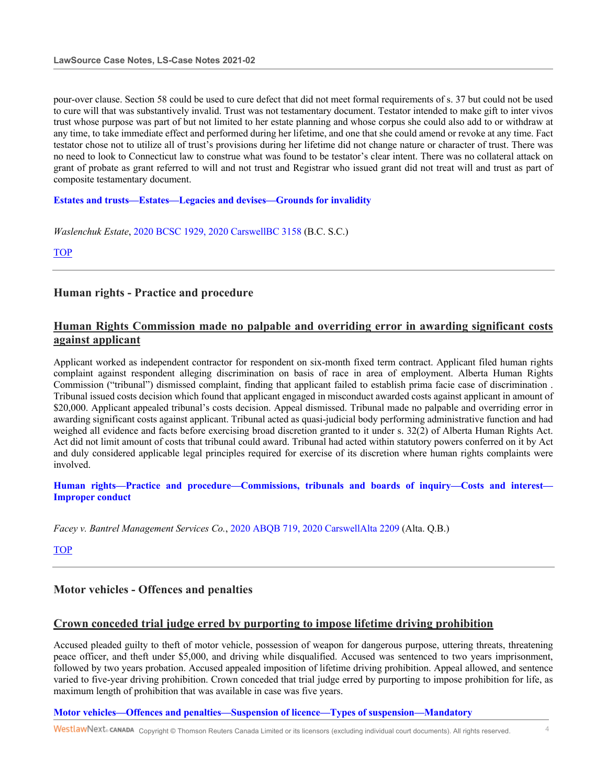pour-over clause. Section 58 could be used to cure defect that did not meet formal requirements of s. 37 but could not be used to cure will that was substantively invalid. Trust was not testamentary document. Testator intended to make gift to inter vivos trust whose purpose was part of but not limited to her estate planning and whose corpus she could also add to or withdraw at any time, to take immediate effect and performed during her lifetime, and one that she could amend or revoke at any time. Fact testator chose not to utilize all of trust's provisions during her lifetime did not change nature or character of trust. There was no need to look to Connecticut law to construe what was found to be testator's clear intent. There was no collateral attack on grant of probate as grant referred to will and not trust and Registrar who issued grant did not treat will and trust as part of composite testamentary document.

**Estates and trusts—Estates—Legacies and devises—Grounds for invalidity**

*Waslenchuk Estate*, 2020 BCSC 1929, 2020 CarswellBC 3158 (B.C. S.C.)

TOP

## **Human rights - Practice and procedure**

# **Human Rights Commission made no palpable and overriding error in awarding significant costs against applicant**

Applicant worked as independent contractor for respondent on six-month fixed term contract. Applicant filed human rights complaint against respondent alleging discrimination on basis of race in area of employment. Alberta Human Rights Commission ("tribunal") dismissed complaint, finding that applicant failed to establish prima facie case of discrimination . Tribunal issued costs decision which found that applicant engaged in misconduct awarded costs against applicant in amount of \$20,000. Applicant appealed tribunal's costs decision. Appeal dismissed. Tribunal made no palpable and overriding error in awarding significant costs against applicant. Tribunal acted as quasi-judicial body performing administrative function and had weighed all evidence and facts before exercising broad discretion granted to it under s. 32(2) of Alberta Human Rights Act. Act did not limit amount of costs that tribunal could award. Tribunal had acted within statutory powers conferred on it by Act and duly considered applicable legal principles required for exercise of its discretion where human rights complaints were involved.

**Human rights—Practice and procedure—Commissions, tribunals and boards of inquiry—Costs and interest— Improper conduct**

*Facey v. Bantrel Management Services Co.*, 2020 ABQB 719, 2020 CarswellAlta 2209 (Alta. Q.B.)

TOP

## **Motor vehicles - Offences and penalties**

### **Crown conceded trial judge erred by purporting to impose lifetime driving prohibition**

Accused pleaded guilty to theft of motor vehicle, possession of weapon for dangerous purpose, uttering threats, threatening peace officer, and theft under \$5,000, and driving while disqualified. Accused was sentenced to two years imprisonment, followed by two years probation. Accused appealed imposition of lifetime driving prohibition. Appeal allowed, and sentence varied to five-year driving prohibition. Crown conceded that trial judge erred by purporting to impose prohibition for life, as maximum length of prohibition that was available in case was five years.

### **Motor vehicles—Offences and penalties—Suspension of licence—Types of suspension—Mandatory**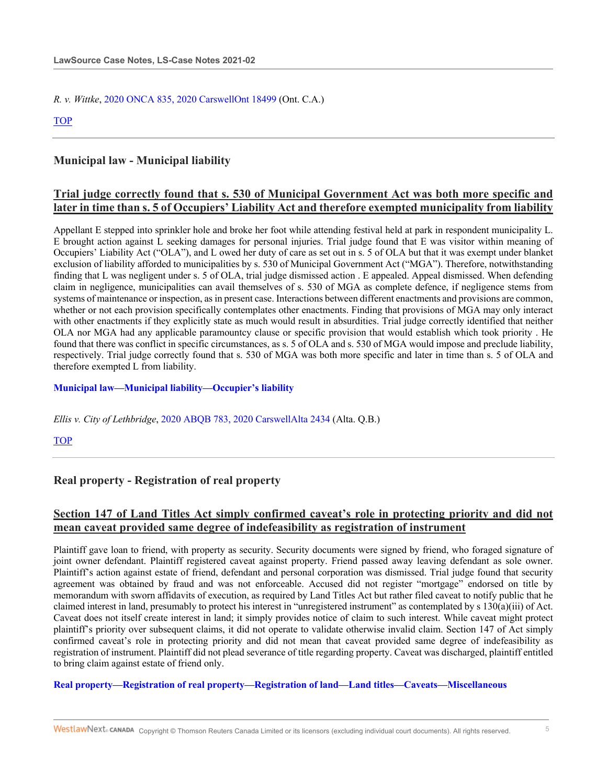*R. v. Wittke*, 2020 ONCA 835, 2020 CarswellOnt 18499 (Ont. C.A.)

TOP

## **Municipal law - Municipal liability**

## **Trial judge correctly found that s. 530 of Municipal Government Act was both more specific and later in time than s. 5 of Occupiers' Liability Act and therefore exempted municipality from liability**

Appellant E stepped into sprinkler hole and broke her foot while attending festival held at park in respondent municipality L. E brought action against L seeking damages for personal injuries. Trial judge found that E was visitor within meaning of Occupiers' Liability Act ("OLA"), and L owed her duty of care as set out in s. 5 of OLA but that it was exempt under blanket exclusion of liability afforded to municipalities by s. 530 of Municipal Government Act ("MGA"). Therefore, notwithstanding finding that L was negligent under s. 5 of OLA, trial judge dismissed action . E appealed. Appeal dismissed. When defending claim in negligence, municipalities can avail themselves of s. 530 of MGA as complete defence, if negligence stems from systems of maintenance or inspection, as in present case. Interactions between different enactments and provisions are common, whether or not each provision specifically contemplates other enactments. Finding that provisions of MGA may only interact with other enactments if they explicitly state as much would result in absurdities. Trial judge correctly identified that neither OLA nor MGA had any applicable paramountcy clause or specific provision that would establish which took priority . He found that there was conflict in specific circumstances, as s. 5 of OLA and s. 530 of MGA would impose and preclude liability, respectively. Trial judge correctly found that s. 530 of MGA was both more specific and later in time than s. 5 of OLA and therefore exempted L from liability.

## **Municipal law—Municipal liability—Occupier's liability**

*Ellis v. City of Lethbridge*, 2020 ABQB 783, 2020 CarswellAlta 2434 (Alta. Q.B.)

TOP

## **Real property - Registration of real property**

# **Section 147 of Land Titles Act simply confirmed caveat's role in protecting priority and did not mean caveat provided same degree of indefeasibility as registration of instrument**

Plaintiff gave loan to friend, with property as security. Security documents were signed by friend, who foraged signature of joint owner defendant. Plaintiff registered caveat against property. Friend passed away leaving defendant as sole owner. Plaintiff's action against estate of friend, defendant and personal corporation was dismissed. Trial judge found that security agreement was obtained by fraud and was not enforceable. Accused did not register "mortgage" endorsed on title by memorandum with sworn affidavits of execution, as required by Land Titles Act but rather filed caveat to notify public that he claimed interest in land, presumably to protect his interest in "unregistered instrument" as contemplated by s 130(a)(iii) of Act. Caveat does not itself create interest in land; it simply provides notice of claim to such interest. While caveat might protect plaintiff's priority over subsequent claims, it did not operate to validate otherwise invalid claim. Section 147 of Act simply confirmed caveat's role in protecting priority and did not mean that caveat provided same degree of indefeasibility as registration of instrument. Plaintiff did not plead severance of title regarding property. Caveat was discharged, plaintiff entitled to bring claim against estate of friend only.

### **Real property—Registration of real property—Registration of land—Land titles—Caveats—Miscellaneous**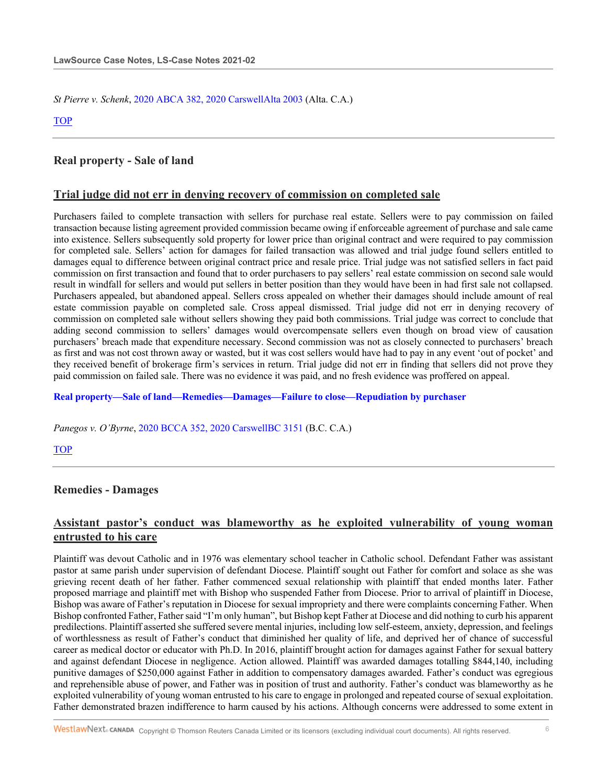*St Pierre v. Schenk*, 2020 ABCA 382, 2020 CarswellAlta 2003 (Alta. C.A.)

TOP

## **Real property - Sale of land**

### **Trial judge did not err in denying recovery of commission on completed sale**

Purchasers failed to complete transaction with sellers for purchase real estate. Sellers were to pay commission on failed transaction because listing agreement provided commission became owing if enforceable agreement of purchase and sale came into existence. Sellers subsequently sold property for lower price than original contract and were required to pay commission for completed sale. Sellers' action for damages for failed transaction was allowed and trial judge found sellers entitled to damages equal to difference between original contract price and resale price. Trial judge was not satisfied sellers in fact paid commission on first transaction and found that to order purchasers to pay sellers' real estate commission on second sale would result in windfall for sellers and would put sellers in better position than they would have been in had first sale not collapsed. Purchasers appealed, but abandoned appeal. Sellers cross appealed on whether their damages should include amount of real estate commission payable on completed sale. Cross appeal dismissed. Trial judge did not err in denying recovery of commission on completed sale without sellers showing they paid both commissions. Trial judge was correct to conclude that adding second commission to sellers' damages would overcompensate sellers even though on broad view of causation purchasers' breach made that expenditure necessary. Second commission was not as closely connected to purchasers' breach as first and was not cost thrown away or wasted, but it was cost sellers would have had to pay in any event 'out of pocket' and they received benefit of brokerage firm's services in return. Trial judge did not err in finding that sellers did not prove they paid commission on failed sale. There was no evidence it was paid, and no fresh evidence was proffered on appeal.

### **Real property—Sale of land—Remedies—Damages—Failure to close—Repudiation by purchaser**

*Panegos v. O'Byrne*, 2020 BCCA 352, 2020 CarswellBC 3151 (B.C. C.A.)

TOP

## **Remedies - Damages**

# **Assistant pastor's conduct was blameworthy as he exploited vulnerability of young woman entrusted to his care**

Plaintiff was devout Catholic and in 1976 was elementary school teacher in Catholic school. Defendant Father was assistant pastor at same parish under supervision of defendant Diocese. Plaintiff sought out Father for comfort and solace as she was grieving recent death of her father. Father commenced sexual relationship with plaintiff that ended months later. Father proposed marriage and plaintiff met with Bishop who suspended Father from Diocese. Prior to arrival of plaintiff in Diocese, Bishop was aware of Father's reputation in Diocese for sexual impropriety and there were complaints concerning Father. When Bishop confronted Father, Father said "I'm only human", but Bishop kept Father at Diocese and did nothing to curb his apparent predilections. Plaintiff asserted she suffered severe mental injuries, including low self-esteem, anxiety, depression, and feelings of worthlessness as result of Father's conduct that diminished her quality of life, and deprived her of chance of successful career as medical doctor or educator with Ph.D. In 2016, plaintiff brought action for damages against Father for sexual battery and against defendant Diocese in negligence. Action allowed. Plaintiff was awarded damages totalling \$844,140, including punitive damages of \$250,000 against Father in addition to compensatory damages awarded. Father's conduct was egregious and reprehensible abuse of power, and Father was in position of trust and authority. Father's conduct was blameworthy as he exploited vulnerability of young woman entrusted to his care to engage in prolonged and repeated course of sexual exploitation. Father demonstrated brazen indifference to harm caused by his actions. Although concerns were addressed to some extent in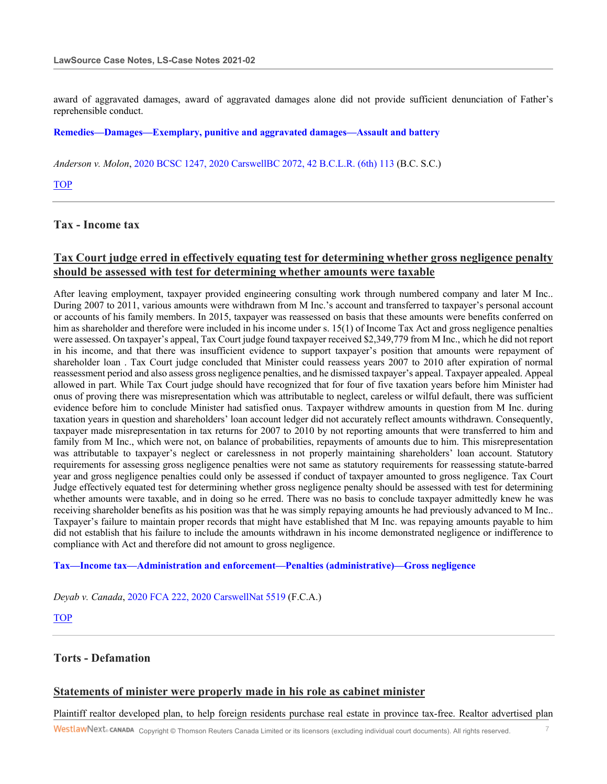award of aggravated damages, award of aggravated damages alone did not provide sufficient denunciation of Father's reprehensible conduct.

### **Remedies—Damages—Exemplary, punitive and aggravated damages—Assault and battery**

*Anderson v. Molon*, 2020 BCSC 1247, 2020 CarswellBC 2072, 42 B.C.L.R. (6th) 113 (B.C. S.C.)

TOP

### **Tax - Income tax**

## **Tax Court judge erred in effectively equating test for determining whether gross negligence penalty should be assessed with test for determining whether amounts were taxable**

After leaving employment, taxpayer provided engineering consulting work through numbered company and later M Inc.. During 2007 to 2011, various amounts were withdrawn from M Inc.'s account and transferred to taxpayer's personal account or accounts of his family members. In 2015, taxpayer was reassessed on basis that these amounts were benefits conferred on him as shareholder and therefore were included in his income under s. 15(1) of Income Tax Act and gross negligence penalties were assessed. On taxpayer's appeal, Tax Court judge found taxpayer received \$2,349,779 from M Inc., which he did not report in his income, and that there was insufficient evidence to support taxpayer's position that amounts were repayment of shareholder loan . Tax Court judge concluded that Minister could reassess years 2007 to 2010 after expiration of normal reassessment period and also assess gross negligence penalties, and he dismissed taxpayer's appeal. Taxpayer appealed. Appeal allowed in part. While Tax Court judge should have recognized that for four of five taxation years before him Minister had onus of proving there was misrepresentation which was attributable to neglect, careless or wilful default, there was sufficient evidence before him to conclude Minister had satisfied onus. Taxpayer withdrew amounts in question from M Inc. during taxation years in question and shareholders' loan account ledger did not accurately reflect amounts withdrawn. Consequently, taxpayer made misrepresentation in tax returns for 2007 to 2010 by not reporting amounts that were transferred to him and family from M Inc., which were not, on balance of probabilities, repayments of amounts due to him. This misrepresentation was attributable to taxpayer's neglect or carelessness in not properly maintaining shareholders' loan account. Statutory requirements for assessing gross negligence penalties were not same as statutory requirements for reassessing statute-barred year and gross negligence penalties could only be assessed if conduct of taxpayer amounted to gross negligence. Tax Court Judge effectively equated test for determining whether gross negligence penalty should be assessed with test for determining whether amounts were taxable, and in doing so he erred. There was no basis to conclude taxpayer admittedly knew he was receiving shareholder benefits as his position was that he was simply repaying amounts he had previously advanced to M Inc.. Taxpayer's failure to maintain proper records that might have established that M Inc. was repaying amounts payable to him did not establish that his failure to include the amounts withdrawn in his income demonstrated negligence or indifference to compliance with Act and therefore did not amount to gross negligence.

### **Tax—Income tax—Administration and enforcement—Penalties (administrative)—Gross negligence**

*Deyab v. Canada*, 2020 FCA 222, 2020 CarswellNat 5519 (F.C.A.)

TOP

## **Torts - Defamation**

### **Statements of minister were properly made in his role as cabinet minister**

Plaintiff realtor developed plan, to help foreign residents purchase real estate in province tax-free. Realtor advertised plan